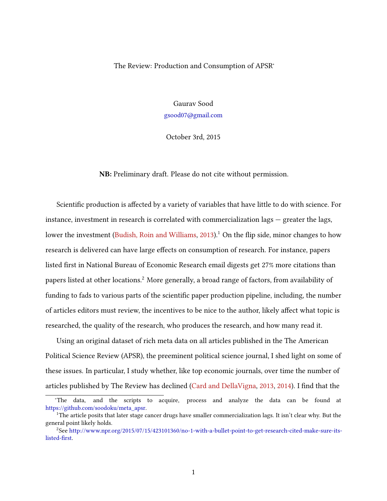## The Review: Production and Consumption of APSR<sup>∗</sup>

Gaurav Sood [gsood07@gmail.com](mailto:gsood07@gmail.com)

October 3rd, 2015

NB: Preliminary draft. Please do not cite without permission.

Scientific production is affected by a variety of variables that have little to do with science. For instance, investment in research is correlated with commercialization lags — greater the lags, lower the investment [\(Budish, Roin and Williams,](#page-12-0)  $2013$ ).<sup>1</sup> On the flip side, minor changes to how research is delivered can have large effects on consumption of research. For instance, papers listed first in National Bureau of Economic Research email digests get 27% more citations than papers listed at other locations.<sup>2</sup> More generally, a broad range of factors, from availability of funding to fads to various parts of the scientific paper production pipeline, including, the number of articles editors must review, the incentives to be nice to the author, likely affect what topic is researched, the quality of the research, who produces the research, and how many read it.

Using an original dataset of rich meta data on all articles published in the The American Political Science Review (APSR), the preeminent political science journal, I shed light on some of these issues. In particular, I study whether, like top economic journals, over time the number of articles published by The Review has declined [\(Card and DellaVigna,](#page-12-1) [2013,](#page-12-1) [2014\)](#page-12-2). I find that the

<sup>∗</sup>The data, and the scripts to acquire, process and analyze the data can be found at [https://github.com/soodoku/meta\\_apsr.](https://github.com/soodoku/meta_apsr)

<sup>&</sup>lt;sup>1</sup>The article posits that later stage cancer drugs have smaller commercialization lags. It isn't clear why. But the general point likely holds.

 $^2$ See [http://www.npr.org/2015/07/15/423101360/no-1-with-a-bullet-point-to-get-research-cited-make-sure-its](http://www.npr.org/2015/07/15/423101360/no-1-with-a-bullet-point-to-get-research-cited-make-sure-its-listed-first)listed-first.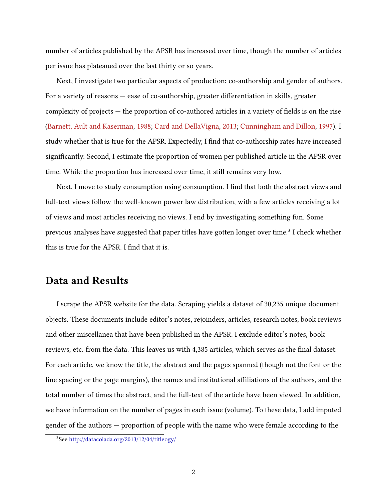number of articles published by the APSR has increased over time, though the number of articles per issue has plateaued over the last thirty or so years.

Next, I investigate two particular aspects of production: co-authorship and gender of authors. For a variety of reasons  $-$  ease of co-authorship, greater differentiation in skills, greater complexity of projects  $-$  the proportion of co-authored articles in a variety of fields is on the rise [\(Barnett, Ault and Kaserman,](#page-12-3) [1988;](#page-12-3) [Card and DellaVigna,](#page-12-1) [2013;](#page-12-1) [Cunningham and Dillon,](#page-12-4) [1997\)](#page-12-4). I study whether that is true for the APSR. Expectedly, I find that co-authorship rates have increased significantly. Second, I estimate the proportion of women per published article in the APSR over time. While the proportion has increased over time, it still remains very low.

Next, I move to study consumption using consumption. I find that both the abstract views and full-text views follow the well-known power law distribution, with a few articles receiving a lot of views and most articles receiving no views. I end by investigating something fun. Some previous analyses have suggested that paper titles have gotten longer over time. $^3$  I check whether this is true for the APSR. I find that it is.

## Data and Results

I scrape the APSR website for the data. Scraping yields a dataset of 30,235 unique document objects. These documents include editor's notes, rejoinders, articles, research notes, book reviews and other miscellanea that have been published in the APSR. I exclude editor's notes, book reviews, etc. from the data. This leaves us with 4,385 articles, which serves as the final dataset. For each article, we know the title, the abstract and the pages spanned (though not the font or the line spacing or the page margins), the names and institutional affiliations of the authors, and the total number of times the abstract, and the full-text of the article have been viewed. In addition, we have information on the number of pages in each issue (volume). To these data, I add imputed gender of the authors — proportion of people with the name who were female according to the

<sup>3</sup>See <http://datacolada.org/2013/12/04/titleogy/>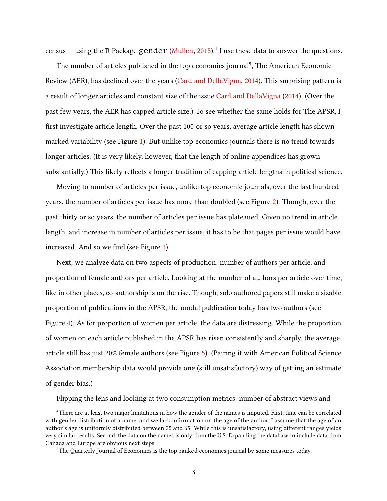census  $-$  using the R Package  $gender$  [\(Mullen,](#page-12-5) [2015\)](#page-12-5).<sup>4</sup> I use these data to answer the questions.

The number of articles published in the top economics journal<sup>5</sup>, The American Economic Review (AER), has declined over the years [\(Card and DellaVigna,](#page-12-2) [2014\)](#page-12-2). This surprising pattern is a result of longer articles and constant size of the issue [Card and DellaVigna](#page-12-2) [\(2014\)](#page-12-2). (Over the past few years, the AER has capped article size.) To see whether the same holds for The APSR, I first investigate article length. Over the past 100 or so years, average article length has shown marked variability (see Figure [1\)](#page-4-0). But unlike top economics journals there is no trend towards longer articles. (It is very likely, however, that the length of online appendices has grown substantially.) This likely reflects a longer tradition of capping article lengths in political science.

Moving to number of articles per issue, unlike top economic journals, over the last hundred years, the number of articles per issue has more than doubled (see Figure [2\)](#page-5-0). Though, over the past thirty or so years, the number of articles per issue has plateaued. Given no trend in article length, and increase in number of articles per issue, it has to be that pages per issue would have increased. And so we find (see Figure [3\)](#page-6-0).

Next, we analyze data on two aspects of production: number of authors per article, and proportion of female authors per article. Looking at the number of authors per article over time, like in other places, co-authorship is on the rise. Though, solo authored papers still make a sizable proportion of publications in the APSR, the modal publication today has two authors (see Figure [4\)](#page-7-0). As for proportion of women per article, the data are distressing. While the proportion of women on each article published in the APSR has risen consistently and sharply, the average article still has just 20% female authors (see Figure [5\)](#page-8-0). (Pairing it with American Political Science Association membership data would provide one (still unsatisfactory) way of getting an estimate of gender bias.)

Flipping the lens and looking at two consumption metrics: number of abstract views and

<sup>4</sup>There are at least two major limitations in how the gender of the names is imputed. First, time can be correlated with gender distribution of a name, and we lack information on the age of the author. I assume that the age of an author's age is uniformly distributed between 25 and 65. While this is unsatisfactory, using different ranges yields very similar results. Second, the data on the names is only from the U.S. Expanding the database to include data from Canada and Europe are obvious next steps.

<sup>&</sup>lt;sup>5</sup>The Quarterly Journal of Economics is the top-ranked economics journal by some measures today.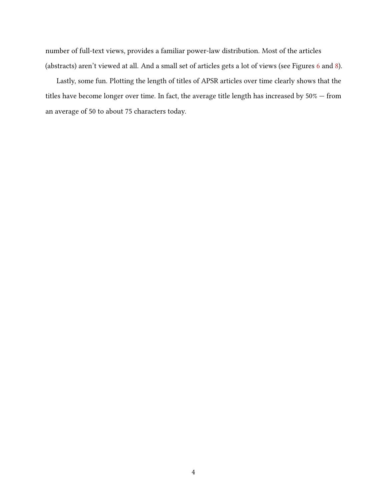number of full-text views, provides a familiar power-law distribution. Most of the articles (abstracts) aren't viewed at all. And a small set of articles gets a lot of views (see Figures [6](#page-9-0) and [8\)](#page-11-0).

Lastly, some fun. Plotting the length of titles of APSR articles over time clearly shows that the titles have become longer over time. In fact, the average title length has increased by 50% — from an average of 50 to about 75 characters today.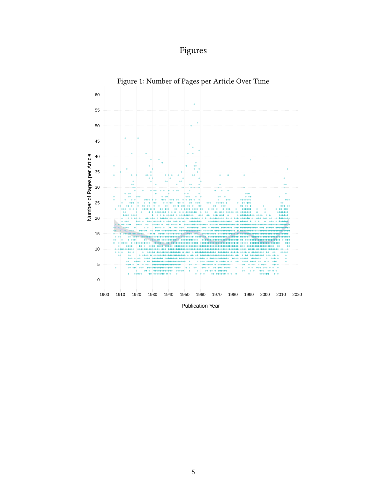<span id="page-4-0"></span>



Publication Year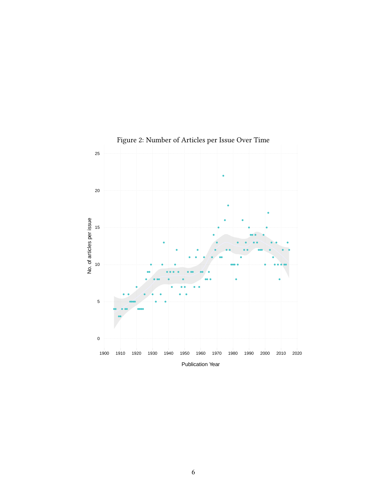

<span id="page-5-0"></span>Figure 2: Number of Articles per Issue Over Time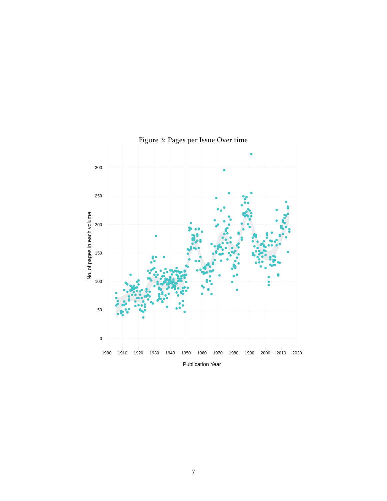

<span id="page-6-0"></span>Figure 3: Pages per Issue Over time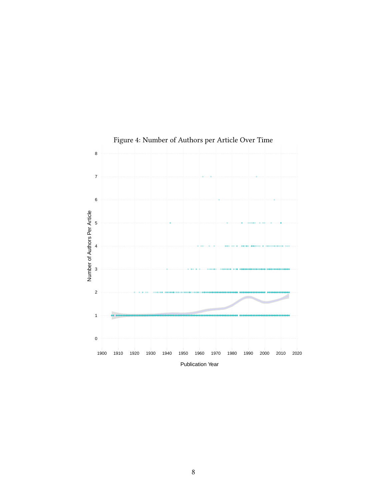

<span id="page-7-0"></span>Figure 4: Number of Authors per Article Over Time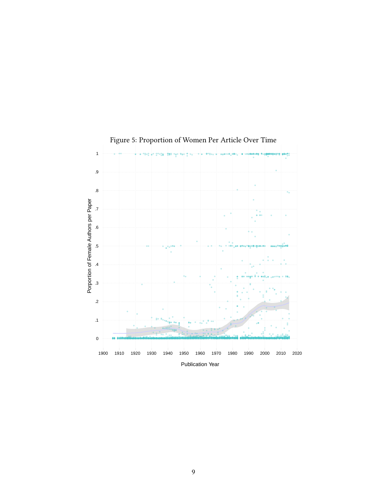

<span id="page-8-0"></span>Figure 5: Proportion of Women Per Article Over Time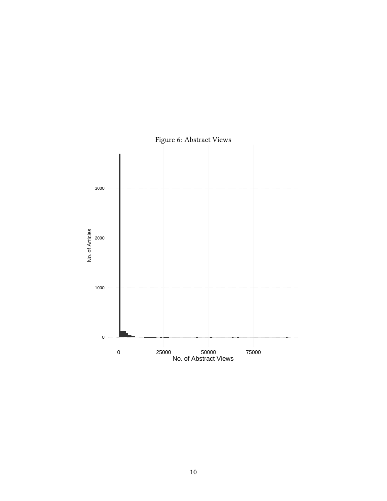<span id="page-9-0"></span>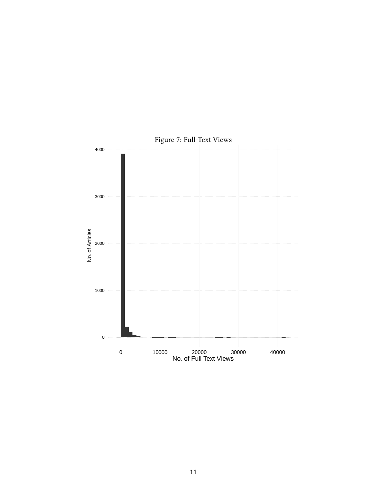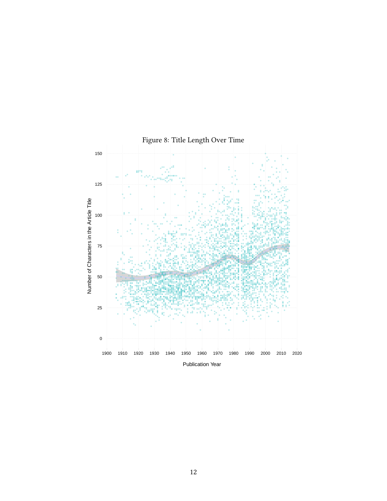

<span id="page-11-0"></span>Figure 8: Title Length Over Time